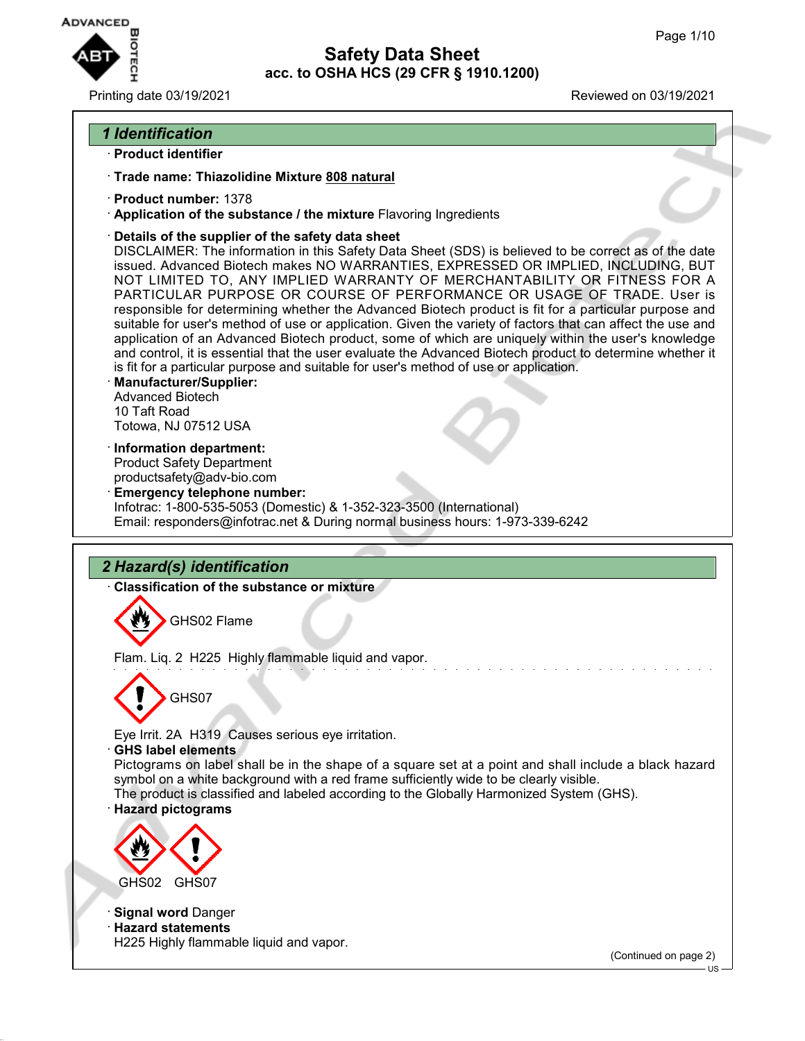

Printing date 03/19/2021 Reviewed on 03/19/2021

## *1 Identification*

- · **Product identifier**
- · **Trade name: Thiazolidine Mixture 808 natural**
- · **Product number:** 1378
- · **Application of the substance / the mixture** Flavoring Ingredients
- · **Details of the supplier of the safety data sheet**

DISCLAIMER: The information in this Safety Data Sheet (SDS) is believed to be correct as of the date issued. Advanced Biotech makes NO WARRANTIES, EXPRESSED OR IMPLIED, INCLUDING, BUT NOT LIMITED TO, ANY IMPLIED WARRANTY OF MERCHANTABILITY OR FITNESS FOR A PARTICULAR PURPOSE OR COURSE OF PERFORMANCE OR USAGE OF TRADE. User is responsible for determining whether the Advanced Biotech product is fit for a particular purpose and suitable for user's method of use or application. Given the variety of factors that can affect the use and application of an Advanced Biotech product, some of which are uniquely within the user's knowledge and control, it is essential that the user evaluate the Advanced Biotech product to determine whether it is fit for a particular purpose and suitable for user's method of use or application.

- · **Manufacturer/Supplier:** Advanced Biotech 10 Taft Road Totowa, NJ 07512 USA
- · **Information department:** Product Safety Department productsafety@adv-bio.com
- · **Emergency telephone number:** Infotrac: 1-800-535-5053 (Domestic) & 1-352-323-3500 (International) Email: responders@infotrac.net & During normal business hours: 1-973-339-6242

# *2 Hazard(s) identification*

· **Classification of the substance or mixture**

GHS02 Flame

Flam. Liq. 2 H225 Highly flammable liquid and vapor.



Eye Irrit. 2A H319 Causes serious eye irritation.

· **GHS label elements**

Pictograms on label shall be in the shape of a square set at a point and shall include a black hazard symbol on a white background with a red frame sufficiently wide to be clearly visible.

The product is classified and labeled according to the Globally Harmonized System (GHS).

· **Hazard pictograms**



· **Signal word** Danger

· **Hazard statements** H225 Highly flammable liquid and vapor.

(Continued on page 2)

US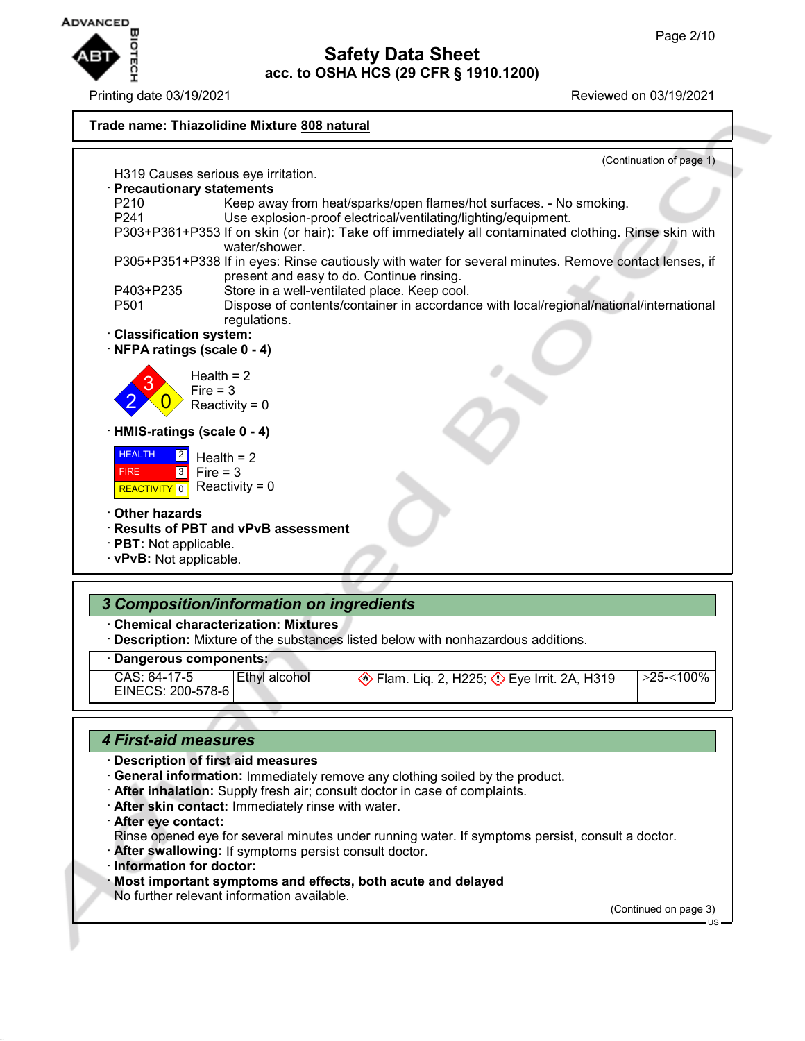

Printing date 03/19/2021 **Printing date 03/19/2021** 



## · **Dangerous components:**

| CAS: 64-17-5      | Ethyl alcohol | $\otimes$ Flam. Liq. 2, H225; $\otimes$ Eye Irrit. 2A, H319 | ≥25-≤100% |
|-------------------|---------------|-------------------------------------------------------------|-----------|
|                   |               |                                                             |           |
| EINECS: 200-578-6 |               |                                                             |           |
|                   |               |                                                             |           |

## *4 First-aid measures*

## · **Description of first aid measures**

- · **General information:** Immediately remove any clothing soiled by the product.
- · **After inhalation:** Supply fresh air; consult doctor in case of complaints.
- · **After skin contact:** Immediately rinse with water.
- · **After eye contact:**
	- Rinse opened eye for several minutes under running water. If symptoms persist, consult a doctor.
- · **After swallowing:** If symptoms persist consult doctor.
- · **Information for doctor:**
- · **Most important symptoms and effects, both acute and delayed**
- No further relevant information available.

(Continued on page 3)

US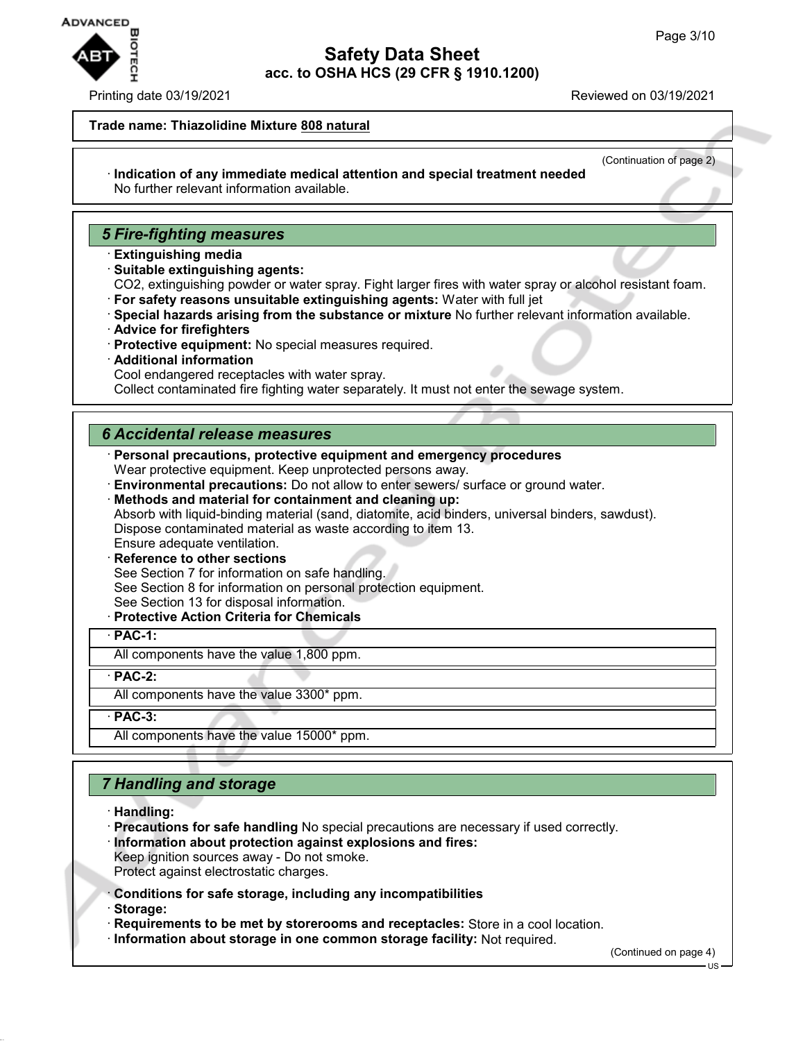

#### Printing date 03/19/2021 **Printing date 03/19/2021**

#### **Trade name: Thiazolidine Mixture 808 natural**

(Continuation of page 2)

#### · **Indication of any immediate medical attention and special treatment needed** No further relevant information available.

## *5 Fire-fighting measures*

- · **Extinguishing media**
- · **Suitable extinguishing agents:**

CO2, extinguishing powder or water spray. Fight larger fires with water spray or alcohol resistant foam. · **For safety reasons unsuitable extinguishing agents:** Water with full jet

- · **Special hazards arising from the substance or mixture** No further relevant information available.
- · **Advice for firefighters**
- · **Protective equipment:** No special measures required.
- · **Additional information**
- Cool endangered receptacles with water spray.

Collect contaminated fire fighting water separately. It must not enter the sewage system.

## *6 Accidental release measures*

- · **Personal precautions, protective equipment and emergency procedures**
- Wear protective equipment. Keep unprotected persons away.
- · **Environmental precautions:** Do not allow to enter sewers/ surface or ground water.

· **Methods and material for containment and cleaning up:** Absorb with liquid-binding material (sand, diatomite, acid binders, universal binders, sawdust). Dispose contaminated material as waste according to item 13. Ensure adequate ventilation.

- **Reference to other sections**
- See Section 7 for information on safe handling.
- See Section 8 for information on personal protection equipment.
- See Section 13 for disposal information.
- · **Protective Action Criteria for Chemicals**

· **PAC-1:**

All components have the value 1,800 ppm.

· **PAC-2:**

All components have the value 3300\* ppm.

· **PAC-3:**

All components have the value 15000\* ppm.

# *7 Handling and storage*

- · **Handling:**
- · **Precautions for safe handling** No special precautions are necessary if used correctly.
- · **Information about protection against explosions and fires:**
- Keep ignition sources away Do not smoke. Protect against electrostatic charges.
- · **Conditions for safe storage, including any incompatibilities**
- · **Storage:**
- · **Requirements to be met by storerooms and receptacles:** Store in a cool location.
- · **Information about storage in one common storage facility:** Not required.

(Continued on page 4)

US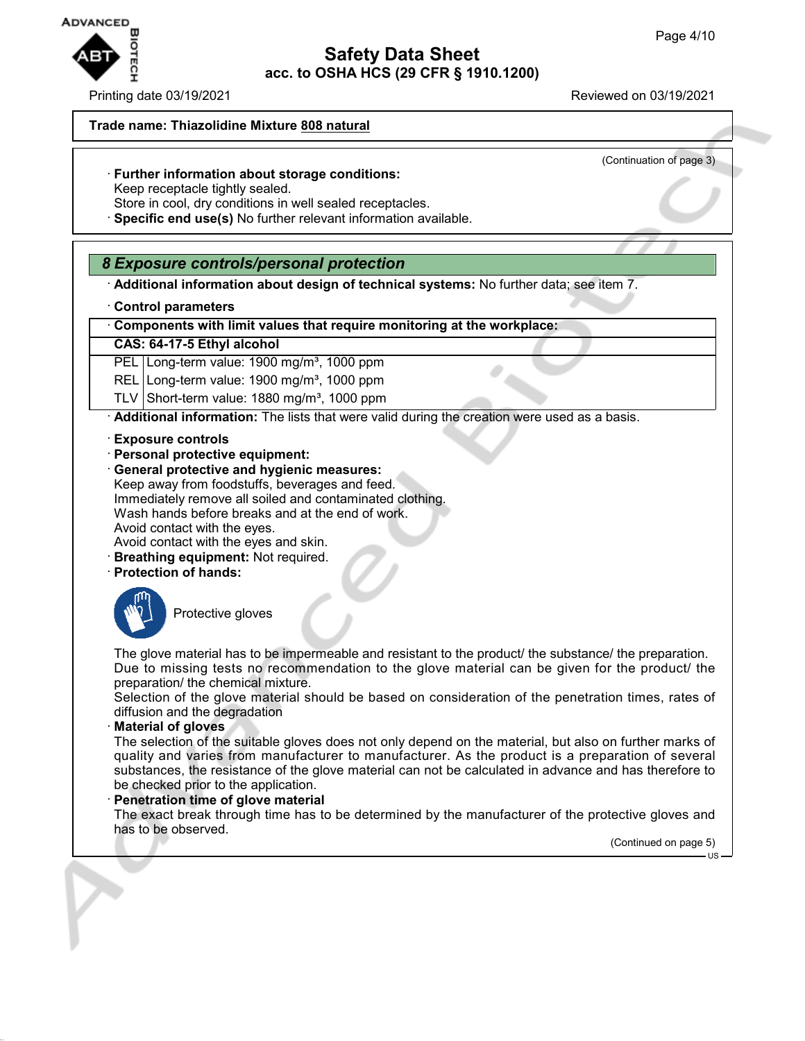

Printing date 03/19/2021 **Printing date 03/19/2021** 

(Continuation of page 3)

#### **Trade name: Thiazolidine Mixture 808 natural**

- · **Further information about storage conditions:**
- Keep receptacle tightly sealed.
- Store in cool, dry conditions in well sealed receptacles.
- · **Specific end use(s)** No further relevant information available.

## *8 Exposure controls/personal protection*

- · **Additional information about design of technical systems:** No further data; see item 7.
- · **Control parameters**

· **Components with limit values that require monitoring at the workplace:**

#### **CAS: 64-17-5 Ethyl alcohol**

PEL Long-term value: 1900 mg/m<sup>3</sup>, 1000 ppm

REL Long-term value: 1900 mg/m<sup>3</sup>, 1000 ppm

TLV Short-term value:  $1880$  mg/m<sup>3</sup>, 1000 ppm

· **Additional information:** The lists that were valid during the creation were used as a basis.

- · **Exposure controls**
- · **Personal protective equipment:**
- · **General protective and hygienic measures:** Keep away from foodstuffs, beverages and feed. Immediately remove all soiled and contaminated clothing. Wash hands before breaks and at the end of work.

Avoid contact with the eyes.

- Avoid contact with the eyes and skin.
- · **Breathing equipment:** Not required.
- · **Protection of hands:**



Protective gloves

The glove material has to be impermeable and resistant to the product/ the substance/ the preparation. Due to missing tests no recommendation to the glove material can be given for the product/ the preparation/ the chemical mixture.

Selection of the glove material should be based on consideration of the penetration times, rates of diffusion and the degradation

· **Material of gloves**

The selection of the suitable gloves does not only depend on the material, but also on further marks of quality and varies from manufacturer to manufacturer. As the product is a preparation of several substances, the resistance of the glove material can not be calculated in advance and has therefore to be checked prior to the application.

### · **Penetration time of glove material**

The exact break through time has to be determined by the manufacturer of the protective gloves and has to be observed.

(Continued on page 5)

US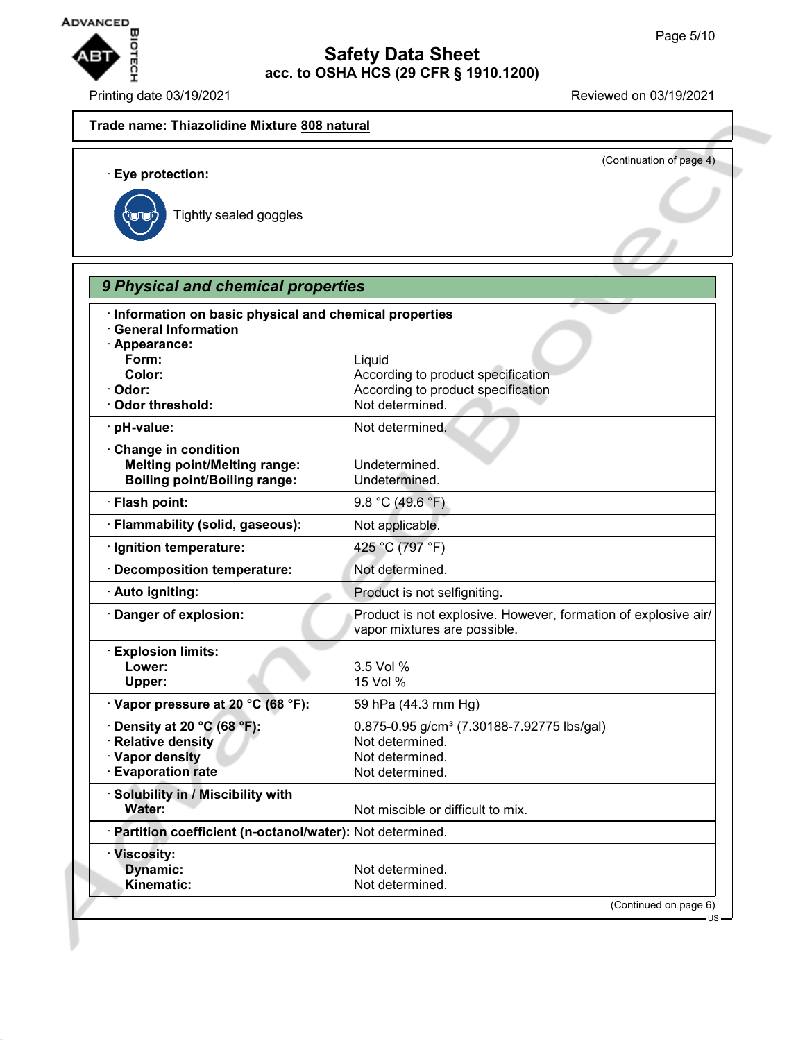

Printing date 03/19/2021 Reviewed on 03/19/2021

# **Trade name: Thiazolidine Mixture 808 natural** (Continuation of page 4) · **Eye protection:** Tightly sealed goggles *9 Physical and chemical properties* · **Information on basic physical and chemical properties** · **General Information** · **Appearance: Form:** Liquid **Color:** Color: **According to product specification** · Odor: **Odor: According to product specification** · Odor threshold: Not determined. · **pH-value:** Not determined. · **Change in condition Melting point/Melting range:** Undetermined. **Boiling point/Boiling range:** Undetermined. · **Flash point:** 9.8 °C (49.6 °F) · **Flammability (solid, gaseous):** Not applicable. · **Ignition temperature:** 425 °C (797 °F) · **Decomposition temperature:** Not determined. · **Auto igniting:** Product is not selfigniting. · **Danger of explosion:** Product is not explosive. However, formation of explosive air/ vapor mixtures are possible. · **Explosion limits: Lower:** 3.5 Vol % **Upper:** 15 Vol % · **Vapor pressure at 20 °C (68 °F):** 59 hPa (44.3 mm Hg) **• Density at 20 °C (68 °F):** 0.875-0.95 g/cm<sup>3</sup> (7.30188-7.92775 lbs/gal) **Product Relative density** Not determined. **Vapor density** Not determined. · **Evaporation rate Not determined.** · **Solubility in / Miscibility with Water:** Not miscible or difficult to mix. · **Partition coefficient (n-octanol/water):** Not determined. · **Viscosity: Dynamic:** Not determined. Kinematic: Not determined. (Continued on page 6)  $H<sub>S</sub>$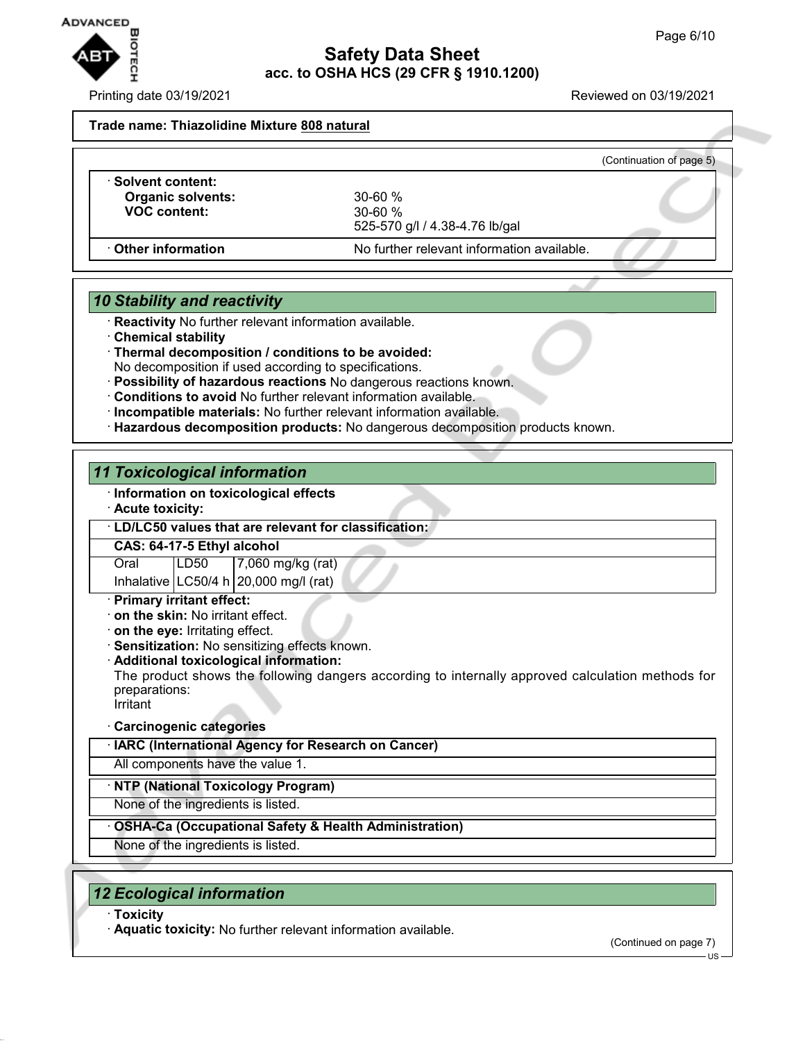

Printing date 03/19/2021 **Printing date 03/19/2021** 

#### **Trade name: Thiazolidine Mixture 808 natural**

|                                                                            |                                                                | (Continuation of page 5) |
|----------------------------------------------------------------------------|----------------------------------------------------------------|--------------------------|
| <b>Solvent content:</b><br><b>Organic solvents:</b><br><b>VOC content:</b> | $30 - 60 \%$<br>$30 - 60 \%$<br>525-570 g/l / 4.38-4.76 lb/gal |                          |
| <b>⋅ Other information</b>                                                 | No further relevant information available.                     |                          |

# *10 Stability and reactivity*

- · **Reactivity** No further relevant information available.
- · **Chemical stability**
- · **Thermal decomposition / conditions to be avoided:** No decomposition if used according to specifications.
- · **Possibility of hazardous reactions** No dangerous reactions known.
- · **Conditions to avoid** No further relevant information available.
- · **Incompatible materials:** No further relevant information available.
- · **Hazardous decomposition products:** No dangerous decomposition products known.

## *11 Toxicological information*

- · **Information on toxicological effects**
- · **Acute toxicity:**

#### · **LD/LC50 values that are relevant for classification:**

#### **CAS: 64-17-5 Ethyl alcohol**

Oral LD50 7,060 mg/kg (rat)

Inhalative  $\lfloor$  LC50/4 h $\rfloor$  20,000 mg/l (rat)

- · **Primary irritant effect:**
- · **on the skin:** No irritant effect.
- · **on the eye:** Irritating effect.
- · **Sensitization:** No sensitizing effects known.
- · **Additional toxicological information:**

The product shows the following dangers according to internally approved calculation methods for preparations:

**Irritant** 

### · **Carcinogenic categories**

· **IARC (International Agency for Research on Cancer)**

All components have the value 1.

### · **NTP (National Toxicology Program)**

None of the ingredients is listed.

## · **OSHA-Ca (Occupational Safety & Health Administration)**

None of the ingredients is listed.

## *12 Ecological information*

· **Toxicity**

· **Aquatic toxicity:** No further relevant information available.

(Continued on page 7)

US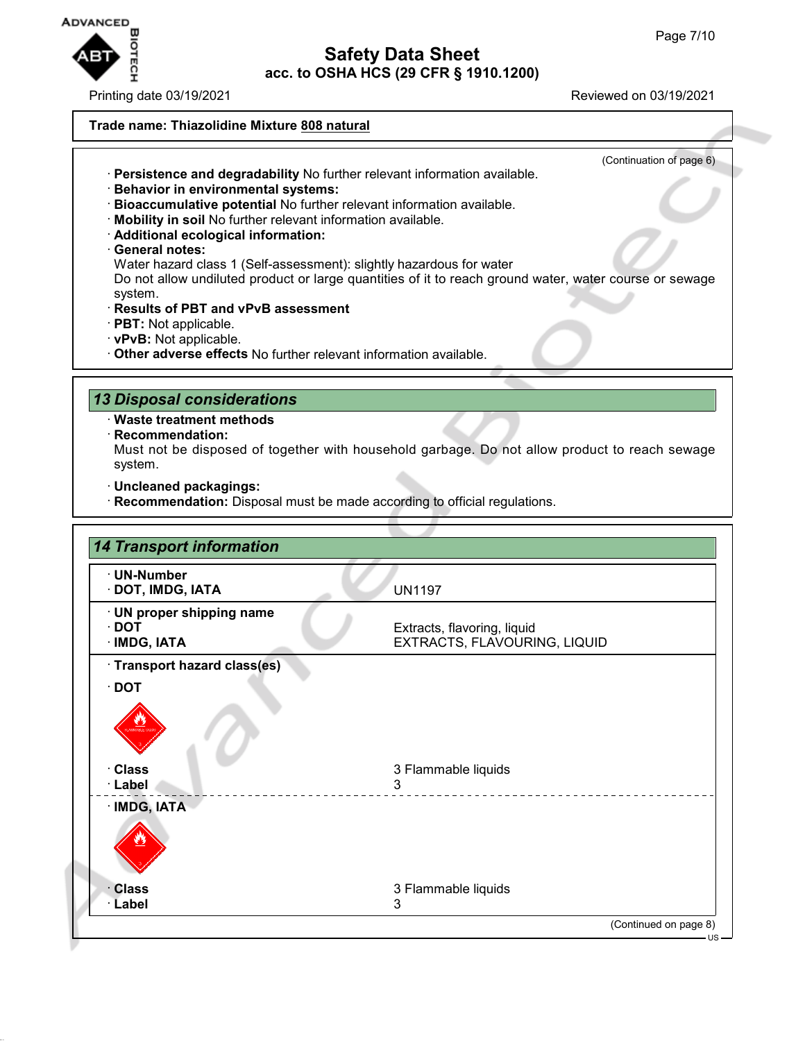

### Printing date 03/19/2021 Reviewed on 03/19/2021

(Continuation of page 6)

#### **Trade name: Thiazolidine Mixture 808 natural**

- · **Persistence and degradability** No further relevant information available.
- · **Behavior in environmental systems:**
- · **Bioaccumulative potential** No further relevant information available.
- · **Mobility in soil** No further relevant information available.
- · **Additional ecological information:**
- · **General notes:**

Water hazard class 1 (Self-assessment): slightly hazardous for water

Do not allow undiluted product or large quantities of it to reach ground water, water course or sewage system.

- · **Results of PBT and vPvB assessment**
- · **PBT:** Not applicable.
- · **vPvB:** Not applicable.
- · **Other adverse effects** No further relevant information available.

## *13 Disposal considerations*

· **Waste treatment methods**

· **Recommendation:**

Must not be disposed of together with household garbage. Do not allow product to reach sewage system.

- · **Uncleaned packagings:**
- · **Recommendation:** Disposal must be made according to official regulations.

| · UN-Number<br>· DOT, IMDG, IATA                         | <b>UN1197</b>                                               |
|----------------------------------------------------------|-------------------------------------------------------------|
| · UN proper shipping name<br>$\cdot$ DOT<br>· IMDG, IATA | Extracts, flavoring, liquid<br>EXTRACTS, FLAVOURING, LIQUID |
| · Transport hazard class(es)                             |                                                             |
| $\cdot$ DOT                                              |                                                             |
|                                                          |                                                             |
| · Class                                                  | 3 Flammable liquids                                         |
| · Label                                                  | 3                                                           |
| · IMDG, IATA                                             |                                                             |
|                                                          |                                                             |
| · Class                                                  | 3 Flammable liquids                                         |
| · Label                                                  | 3                                                           |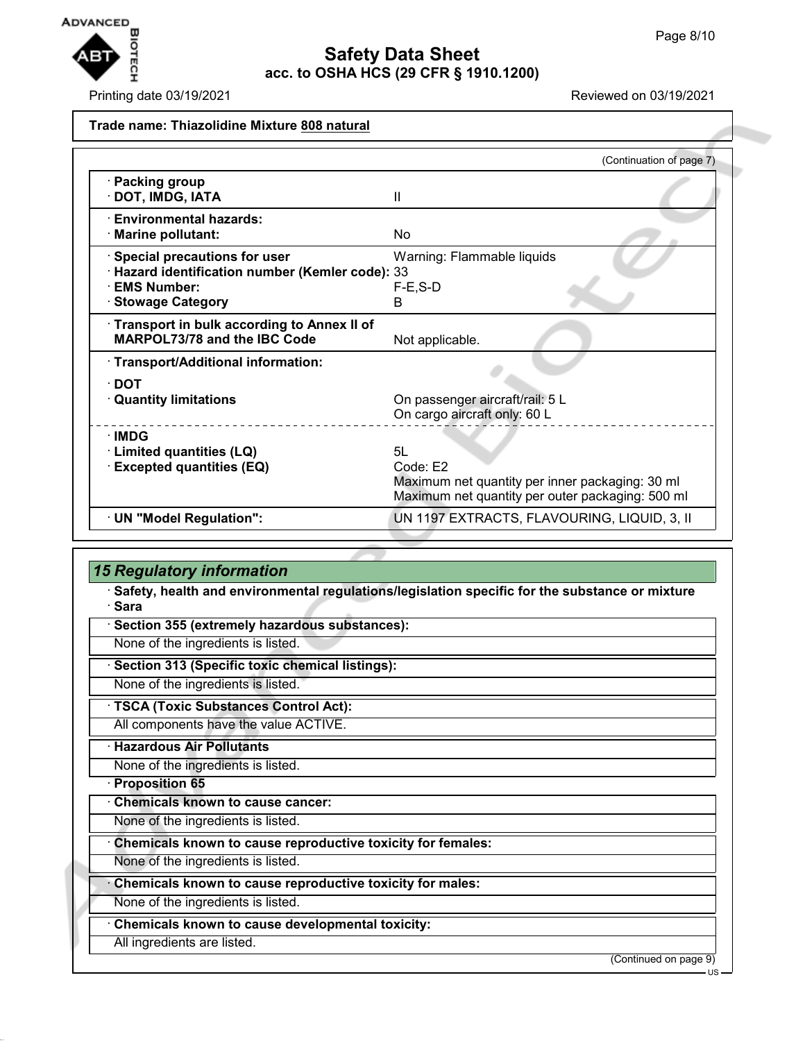

Printing date 03/19/2021 Reviewed on 03/19/2021

#### **Trade name: Thiazolidine Mixture 808 natural**

|                                                                                                                                     | (Continuation of page 7)                                                                                               |
|-------------------------------------------------------------------------------------------------------------------------------------|------------------------------------------------------------------------------------------------------------------------|
| · Packing group<br>DOT, IMDG, IATA                                                                                                  | Ш                                                                                                                      |
| · Environmental hazards:<br>· Marine pollutant:                                                                                     | No                                                                                                                     |
| · Special precautions for user<br>· Hazard identification number (Kemler code): 33<br><b>EMS Number:</b><br><b>Stowage Category</b> | Warning: Flammable liquids<br>$F-E$ , $S-D$<br>B                                                                       |
| Transport in bulk according to Annex II of<br><b>MARPOL73/78 and the IBC Code</b>                                                   | Not applicable.                                                                                                        |
| · Transport/Additional information:<br>$\cdot$ DOT<br><b>Quantity limitations</b>                                                   | On passenger aircraft/rail: 5 L<br>On cargo aircraft only: 60 L                                                        |
| $\cdot$ IMDG<br>· Limited quantities (LQ)<br><b>Excepted quantities (EQ)</b>                                                        | 5I.<br>Code: E2<br>Maximum net quantity per inner packaging: 30 ml<br>Maximum net quantity per outer packaging: 500 ml |
| · UN "Model Regulation":                                                                                                            | UN 1197 EXTRACTS, FLAVOURING, LIQUID, 3, II                                                                            |
|                                                                                                                                     |                                                                                                                        |

## *15 Regulatory information*

· **Safety, health and environmental regulations/legislation specific for the substance or mixture** · **Sara**

· **Section 355 (extremely hazardous substances):**

None of the ingredients is listed.

· **Section 313 (Specific toxic chemical listings):**

None of the ingredients is listed.

· **TSCA (Toxic Substances Control Act):**

All components have the value ACTIVE.

· **Hazardous Air Pollutants**

None of the ingredients is listed.

· **Proposition 65**

· **Chemicals known to cause cancer:**

None of the ingredients is listed.

· **Chemicals known to cause reproductive toxicity for females:**

None of the ingredients is listed.

· **Chemicals known to cause reproductive toxicity for males:**

None of the ingredients is listed.

· **Chemicals known to cause developmental toxicity:**

All ingredients are listed.

(Continued on page 9)

US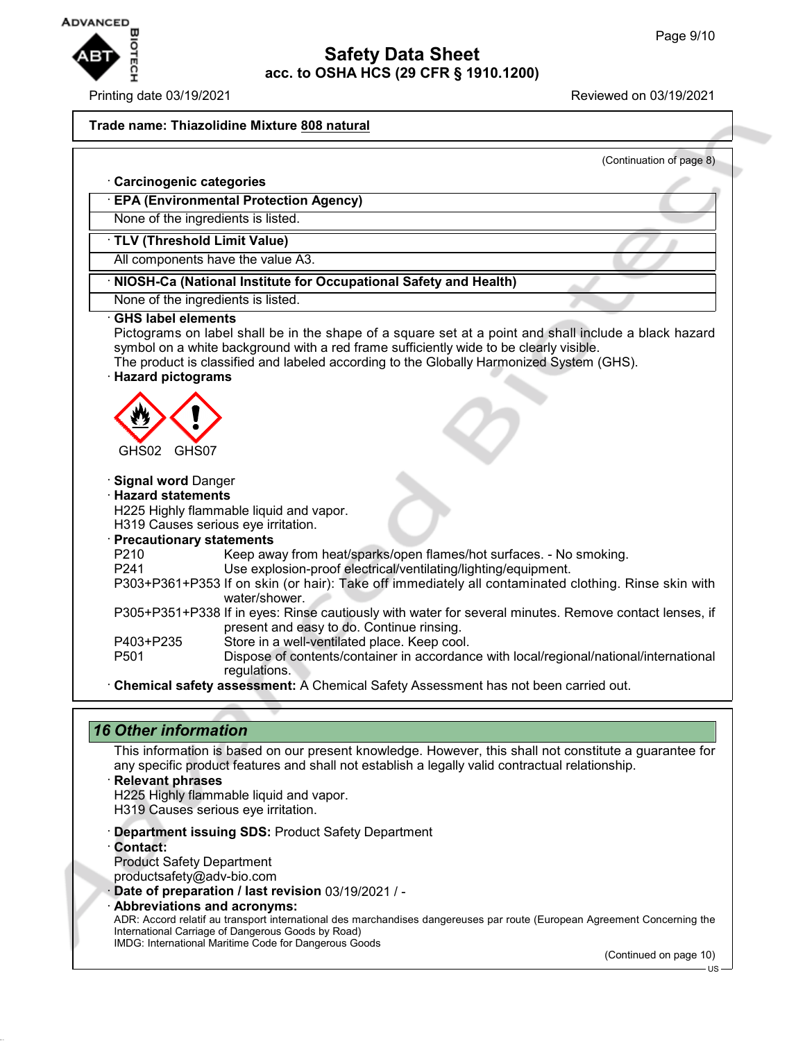

### Printing date 03/19/2021 Reviewed on 03/19/2021

#### **Trade name: Thiazolidine Mixture 808 natural**

(Continuation of page 8)

# · **Carcinogenic categories** · **EPA (Environmental Protection Agency)** None of the ingredients is listed. · **TLV (Threshold Limit Value)** All components have the value A3. · **NIOSH-Ca (National Institute for Occupational Safety and Health)** None of the ingredients is listed. · **GHS label elements** Pictograms on label shall be in the shape of a square set at a point and shall include a black hazard symbol on a white background with a red frame sufficiently wide to be clearly visible. The product is classified and labeled according to the Globally Harmonized System (GHS). · **Hazard pictograms** GHS02 GHS07 · **Signal word** Danger · **Hazard statements** H225 Highly flammable liquid and vapor. H319 Causes serious eye irritation. · **Precautionary statements** P210 Keep away from heat/sparks/open flames/hot surfaces. - No smoking. P241 Use explosion-proof electrical/ventilating/lighting/equipment. P303+P361+P353 If on skin (or hair): Take off immediately all contaminated clothing. Rinse skin with water/shower. P305+P351+P338 If in eyes: Rinse cautiously with water for several minutes. Remove contact lenses, if present and easy to do. Continue rinsing. P403+P235 Store in a well-ventilated place. Keep cool. P501 Dispose of contents/container in accordance with local/regional/national/international regulations. · **Chemical safety assessment:** A Chemical Safety Assessment has not been carried out.

## *16 Other information*

This information is based on our present knowledge. However, this shall not constitute a guarantee for any specific product features and shall not establish a legally valid contractual relationship.

- · **Relevant phrases** H225 Highly flammable liquid and vapor.
- H319 Causes serious eye irritation.
- · **Department issuing SDS:** Product Safety Department
- · **Contact:** Product Safety Department
- productsafety@adv-bio.com
- · **Date of preparation / last revision** 03/19/2021 / -
- · **Abbreviations and acronyms:**

ADR: Accord relatif au transport international des marchandises dangereuses par route (European Agreement Concerning the International Carriage of Dangerous Goods by Road) IMDG: International Maritime Code for Dangerous Goods

(Continued on page 10)

US